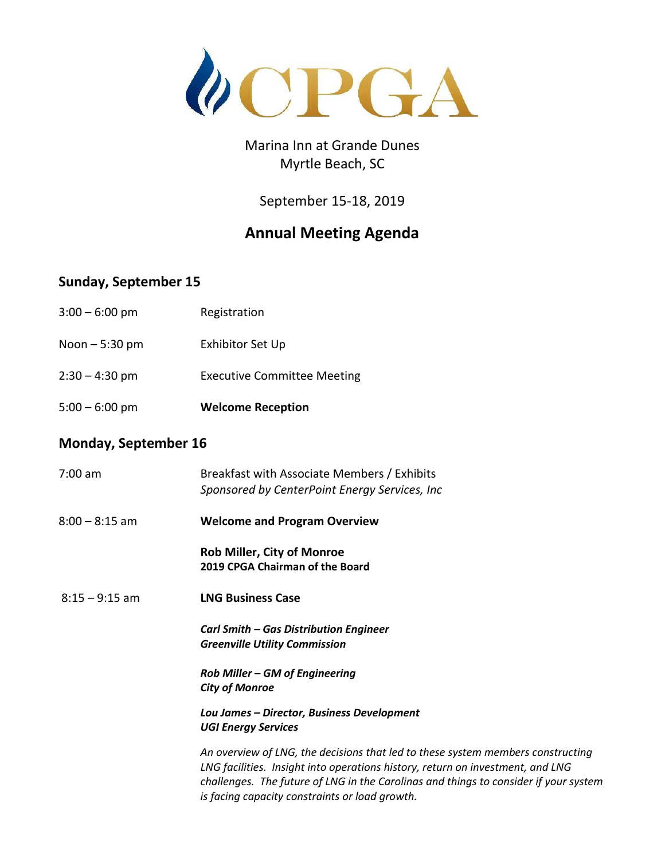

## Marina Inn at Grande Dunes Myrtle Beach, SC

September 15-18, 2019

## **Annual Meeting Agenda**

## **Sunday, September 15**

| $5:00 - 6:00$ pm | <b>Welcome Reception</b>           |
|------------------|------------------------------------|
| $2:30 - 4:30$ pm | <b>Executive Committee Meeting</b> |
| Noon $-5:30$ pm  | Exhibitor Set Up                   |
| $3:00 - 6:00$ pm | Registration                       |

## **Monday, September 16**

| 7:00 am          | Breakfast with Associate Members / Exhibits<br>Sponsored by CenterPoint Energy Services, Inc                                                                                                                                                                                                                |
|------------------|-------------------------------------------------------------------------------------------------------------------------------------------------------------------------------------------------------------------------------------------------------------------------------------------------------------|
| $8:00 - 8:15$ am | <b>Welcome and Program Overview</b>                                                                                                                                                                                                                                                                         |
|                  | <b>Rob Miller, City of Monroe</b><br>2019 CPGA Chairman of the Board                                                                                                                                                                                                                                        |
| $8:15 - 9:15$ am | <b>LNG Business Case</b>                                                                                                                                                                                                                                                                                    |
|                  | <b>Carl Smith – Gas Distribution Engineer</b><br><b>Greenville Utility Commission</b>                                                                                                                                                                                                                       |
|                  | Rob Miller - GM of Engineering<br><b>City of Monroe</b>                                                                                                                                                                                                                                                     |
|                  | Lou James - Director, Business Development<br><b>UGI Energy Services</b>                                                                                                                                                                                                                                    |
|                  | An overview of LNG, the decisions that led to these system members constructing<br>LNG facilities. Insight into operations history, return on investment, and LNG<br>challenges. The future of LNG in the Carolinas and things to consider if your system<br>is facing capacity constraints or load growth. |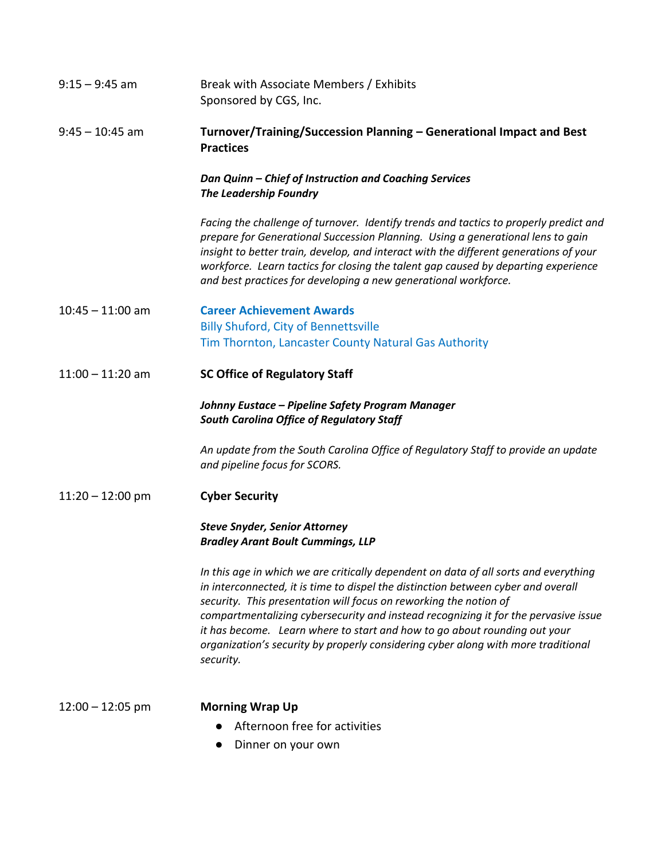| $9:15 - 9:45$ am   | Break with Associate Members / Exhibits<br>Sponsored by CGS, Inc.                                                                                                                                                                                                                                                                                                                                                                                                                                                    |
|--------------------|----------------------------------------------------------------------------------------------------------------------------------------------------------------------------------------------------------------------------------------------------------------------------------------------------------------------------------------------------------------------------------------------------------------------------------------------------------------------------------------------------------------------|
| $9:45 - 10:45$ am  | Turnover/Training/Succession Planning - Generational Impact and Best<br><b>Practices</b>                                                                                                                                                                                                                                                                                                                                                                                                                             |
|                    | Dan Quinn - Chief of Instruction and Coaching Services<br><b>The Leadership Foundry</b>                                                                                                                                                                                                                                                                                                                                                                                                                              |
|                    | Facing the challenge of turnover. Identify trends and tactics to properly predict and<br>prepare for Generational Succession Planning. Using a generational lens to gain<br>insight to better train, develop, and interact with the different generations of your<br>workforce. Learn tactics for closing the talent gap caused by departing experience<br>and best practices for developing a new generational workforce.                                                                                           |
| $10:45 - 11:00$ am | <b>Career Achievement Awards</b>                                                                                                                                                                                                                                                                                                                                                                                                                                                                                     |
|                    | <b>Billy Shuford, City of Bennettsville</b>                                                                                                                                                                                                                                                                                                                                                                                                                                                                          |
|                    | Tim Thornton, Lancaster County Natural Gas Authority                                                                                                                                                                                                                                                                                                                                                                                                                                                                 |
| $11:00 - 11:20$ am | <b>SC Office of Regulatory Staff</b>                                                                                                                                                                                                                                                                                                                                                                                                                                                                                 |
|                    | Johnny Eustace – Pipeline Safety Program Manager<br><b>South Carolina Office of Regulatory Staff</b>                                                                                                                                                                                                                                                                                                                                                                                                                 |
|                    | An update from the South Carolina Office of Regulatory Staff to provide an update<br>and pipeline focus for SCORS.                                                                                                                                                                                                                                                                                                                                                                                                   |
| $11:20 - 12:00$ pm | <b>Cyber Security</b>                                                                                                                                                                                                                                                                                                                                                                                                                                                                                                |
|                    | <b>Steve Snyder, Senior Attorney</b><br><b>Bradley Arant Boult Cummings, LLP</b>                                                                                                                                                                                                                                                                                                                                                                                                                                     |
|                    | In this age in which we are critically dependent on data of all sorts and everything<br>in interconnected, it is time to dispel the distinction between cyber and overall<br>security. This presentation will focus on reworking the notion of<br>compartmentalizing cybersecurity and instead recognizing it for the pervasive issue<br>it has become. Learn where to start and how to go about rounding out your<br>organization's security by properly considering cyber along with more traditional<br>security. |
| $12:00 - 12:05$ pm | <b>Morning Wrap Up</b>                                                                                                                                                                                                                                                                                                                                                                                                                                                                                               |
|                    | Afternoon free for activities                                                                                                                                                                                                                                                                                                                                                                                                                                                                                        |
|                    | Dinner on your own                                                                                                                                                                                                                                                                                                                                                                                                                                                                                                   |
|                    |                                                                                                                                                                                                                                                                                                                                                                                                                                                                                                                      |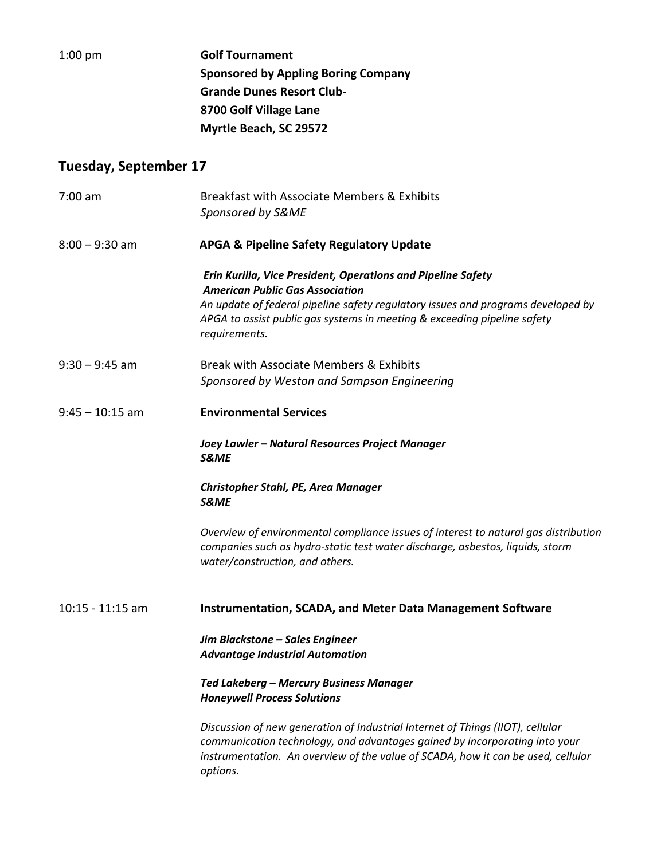| $1:00$ pm             | <b>Golf Tournament</b>                                                                                                                                                                                                                                       |
|-----------------------|--------------------------------------------------------------------------------------------------------------------------------------------------------------------------------------------------------------------------------------------------------------|
|                       | <b>Sponsored by Appling Boring Company</b>                                                                                                                                                                                                                   |
|                       | <b>Grande Dunes Resort Club-</b>                                                                                                                                                                                                                             |
|                       | 8700 Golf Village Lane                                                                                                                                                                                                                                       |
|                       | Myrtle Beach, SC 29572                                                                                                                                                                                                                                       |
| Tuesday, September 17 |                                                                                                                                                                                                                                                              |
| $7:00$ am             | Breakfast with Associate Members & Exhibits                                                                                                                                                                                                                  |
|                       | Sponsored by S&ME                                                                                                                                                                                                                                            |
| $8:00 - 9:30$ am      | <b>APGA &amp; Pipeline Safety Regulatory Update</b>                                                                                                                                                                                                          |
|                       | Erin Kurilla, Vice President, Operations and Pipeline Safety                                                                                                                                                                                                 |
|                       | <b>American Public Gas Association</b><br>An update of federal pipeline safety regulatory issues and programs developed by                                                                                                                                   |
|                       | APGA to assist public gas systems in meeting & exceeding pipeline safety<br>requirements.                                                                                                                                                                    |
| $9:30 - 9:45$ am      | Break with Associate Members & Exhibits                                                                                                                                                                                                                      |
|                       | Sponsored by Weston and Sampson Engineering                                                                                                                                                                                                                  |
| $9:45 - 10:15$ am     | <b>Environmental Services</b>                                                                                                                                                                                                                                |
|                       | Joey Lawler - Natural Resources Project Manager<br><b>S&amp;ME</b>                                                                                                                                                                                           |
|                       | <b>Christopher Stahl, PE, Area Manager</b><br>S&ME                                                                                                                                                                                                           |
|                       | Overview of environmental compliance issues of interest to natural gas distribution<br>companies such as hydro-static test water discharge, asbestos, liquids, storm<br>water/construction, and others.                                                      |
| $10:15 - 11:15$ am    | <b>Instrumentation, SCADA, and Meter Data Management Software</b>                                                                                                                                                                                            |
|                       | Jim Blackstone - Sales Engineer<br><b>Advantage Industrial Automation</b>                                                                                                                                                                                    |
|                       | Ted Lakeberg - Mercury Business Manager<br><b>Honeywell Process Solutions</b>                                                                                                                                                                                |
|                       | Discussion of new generation of Industrial Internet of Things (IIOT), cellular<br>communication technology, and advantages gained by incorporating into your<br>instrumentation. An overview of the value of SCADA, how it can be used, cellular<br>options. |